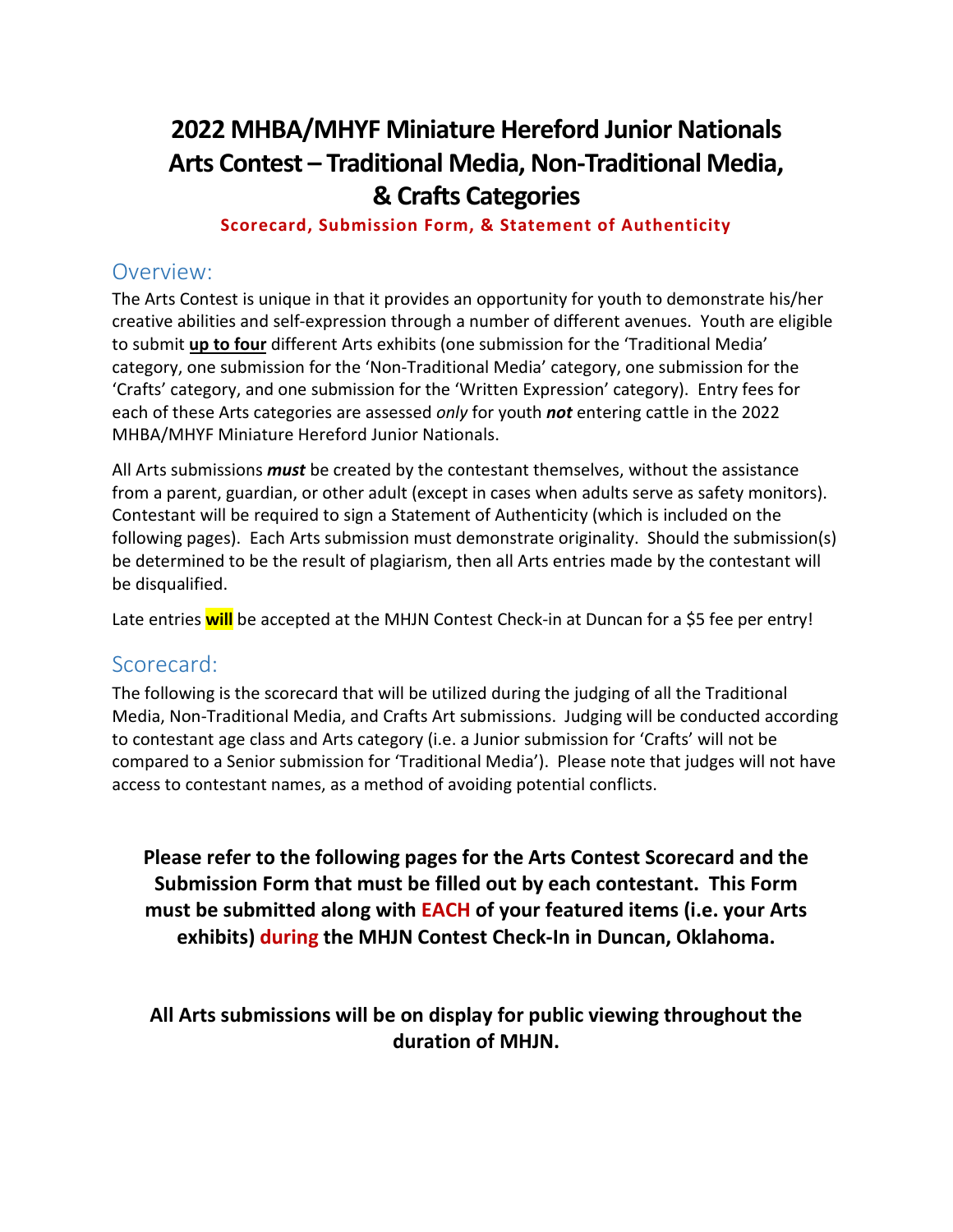# **2022 MHBA/MHYF Miniature Hereford Junior Nationals Arts Contest – Traditional Media, Non-Traditional Media, & Crafts Categories**

#### **Scorecard, Submission Form, & Statement of Authenticity**

### Overview:

The Arts Contest is unique in that it provides an opportunity for youth to demonstrate his/her creative abilities and self-expression through a number of different avenues. Youth are eligible to submit **up to four** different Arts exhibits (one submission for the 'Traditional Media' category, one submission for the 'Non-Traditional Media' category, one submission for the 'Crafts' category, and one submission for the 'Written Expression' category). Entry fees for each of these Arts categories are assessed *only* for youth *not* entering cattle in the 2022 MHBA/MHYF Miniature Hereford Junior Nationals.

All Arts submissions *must* be created by the contestant themselves, without the assistance from a parent, guardian, or other adult (except in cases when adults serve as safety monitors). Contestant will be required to sign a Statement of Authenticity (which is included on the following pages). Each Arts submission must demonstrate originality. Should the submission(s) be determined to be the result of plagiarism, then all Arts entries made by the contestant will be disqualified.

Late entries **will** be accepted at the MHJN Contest Check-in at Duncan for a \$5 fee per entry!

#### Scorecard:

The following is the scorecard that will be utilized during the judging of all the Traditional Media, Non-Traditional Media, and Crafts Art submissions. Judging will be conducted according to contestant age class and Arts category (i.e. a Junior submission for 'Crafts' will not be compared to a Senior submission for 'Traditional Media'). Please note that judges will not have access to contestant names, as a method of avoiding potential conflicts.

**Please refer to the following pages for the Arts Contest Scorecard and the Submission Form that must be filled out by each contestant. This Form must be submitted along with EACH of your featured items (i.e. your Arts exhibits) during the MHJN Contest Check-In in Duncan, Oklahoma.** 

**All Arts submissions will be on display for public viewing throughout the duration of MHJN.**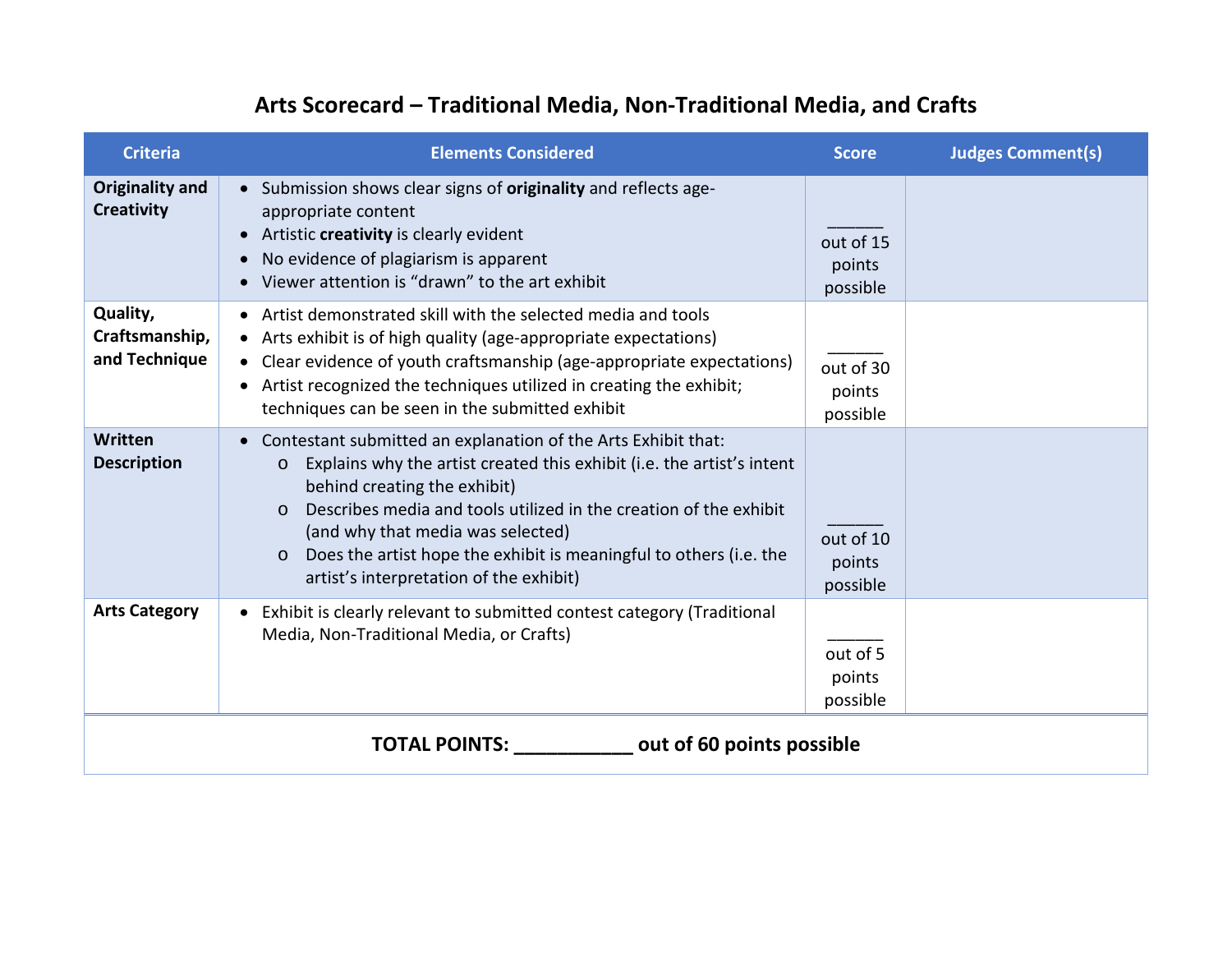# **Arts Scorecard – Traditional Media, Non-Traditional Media, and Crafts**

| <b>Criteria</b>                                   | <b>Elements Considered</b>                                                                                                                                                                                                                                                                                                                                                                                                                        | <b>Score</b>                    | <b>Judges Comment(s)</b> |  |
|---------------------------------------------------|---------------------------------------------------------------------------------------------------------------------------------------------------------------------------------------------------------------------------------------------------------------------------------------------------------------------------------------------------------------------------------------------------------------------------------------------------|---------------------------------|--------------------------|--|
| Originality and<br><b>Creativity</b>              | • Submission shows clear signs of originality and reflects age-<br>appropriate content<br>Artistic creativity is clearly evident<br>No evidence of plagiarism is apparent<br>$\bullet$<br>Viewer attention is "drawn" to the art exhibit                                                                                                                                                                                                          | out of 15<br>points<br>possible |                          |  |
| Quality,<br>Craftsmanship,<br>and Technique       | • Artist demonstrated skill with the selected media and tools<br>• Arts exhibit is of high quality (age-appropriate expectations)<br>• Clear evidence of youth craftsmanship (age-appropriate expectations)<br>• Artist recognized the techniques utilized in creating the exhibit;<br>techniques can be seen in the submitted exhibit                                                                                                            | out of 30<br>points<br>possible |                          |  |
| Written<br><b>Description</b>                     | Contestant submitted an explanation of the Arts Exhibit that:<br>$\bullet$<br>Explains why the artist created this exhibit (i.e. the artist's intent<br>$\circ$<br>behind creating the exhibit)<br>Describes media and tools utilized in the creation of the exhibit<br>$\Omega$<br>(and why that media was selected)<br>Does the artist hope the exhibit is meaningful to others (i.e. the<br>$\circ$<br>artist's interpretation of the exhibit) | out of 10<br>points<br>possible |                          |  |
| <b>Arts Category</b>                              | Exhibit is clearly relevant to submitted contest category (Traditional<br>$\bullet$<br>Media, Non-Traditional Media, or Crafts)                                                                                                                                                                                                                                                                                                                   | out of 5<br>points<br>possible  |                          |  |
| <b>TOTAL POINTS:</b><br>out of 60 points possible |                                                                                                                                                                                                                                                                                                                                                                                                                                                   |                                 |                          |  |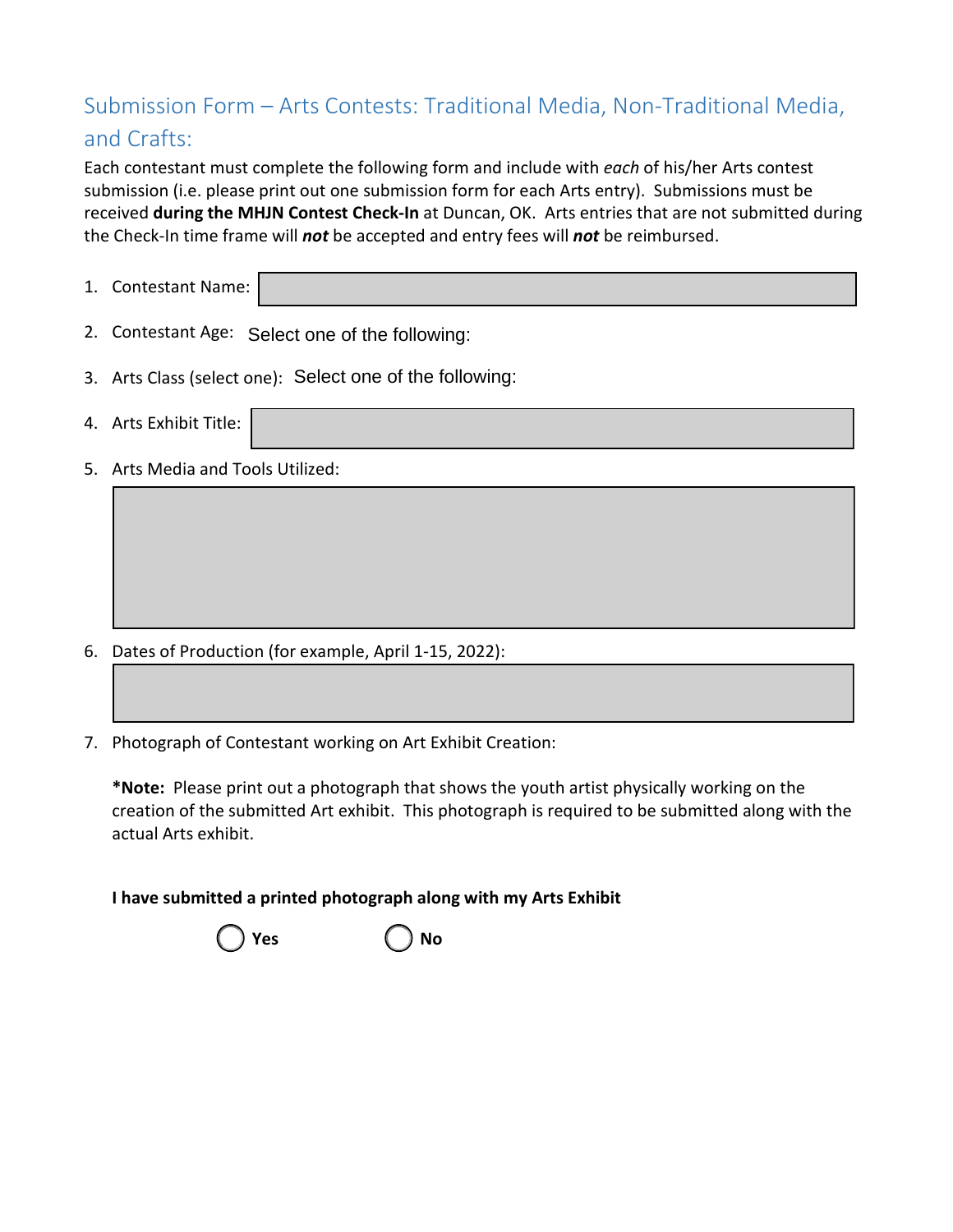## Submission Form – Arts Contests: Traditional Media, Non-Traditional Media, and Crafts:

Each contestant must complete the following form and include with *each* of his/her Arts contest submission (i.e. please print out one submission form for each Arts entry). Submissions must be received **during the MHJN Contest Check-In** at Duncan, OK. Arts entries that are not submitted during the Check-In time frame will *not* be accepted and entry fees will *not* be reimbursed.

- 1. Contestant Name:
- 2. Contestant Age: Select one of the following:
- 3. Arts Class (select one): Select one of the following:
- 4. Arts Exhibit Title:
- 5. Arts Media and Tools Utilized:

- 6. Dates of Production (for example, April 1-15, 2022):
- 7. Photograph of Contestant working on Art Exhibit Creation:

**\*Note:** Please print out a photograph that shows the youth artist physically working on the creation of the submitted Art exhibit. This photograph is required to be submitted along with the actual Arts exhibit.

**I have submitted a printed photograph along with my Arts Exhibit**